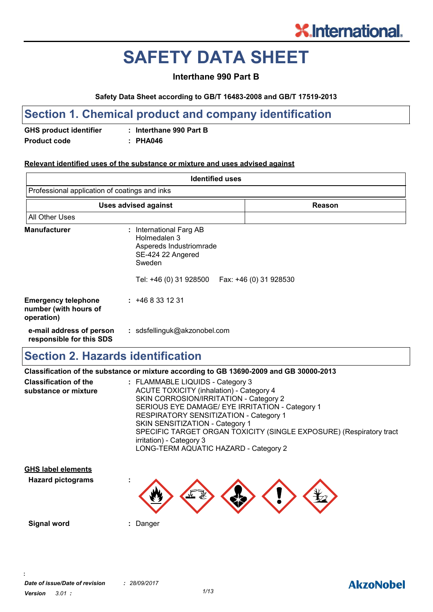# **SAFETY DATA SHEET**

#### **Interthane 990 Part B**

#### **Safety Data Sheet according to GB/T 16483-2008 and GB/T 17519-2013**

### **Section 1. Chemical product and company identification**

**GHS product identifier : Interthane 990 Part B Product code : PHA046**

#### **Relevant identified uses of the substance or mixture and uses advised against**

| <b>Identified uses</b>                                            |                                                                                                                             |                        |
|-------------------------------------------------------------------|-----------------------------------------------------------------------------------------------------------------------------|------------------------|
| Professional application of coatings and inks                     |                                                                                                                             |                        |
|                                                                   | <b>Uses advised against</b>                                                                                                 | Reason                 |
| <b>All Other Uses</b>                                             |                                                                                                                             |                        |
| <b>Manufacturer</b>                                               | : International Farg AB<br>Holmedalen 3<br>Aspereds Industriomrade<br>SE-424 22 Angered<br>Sweden<br>Tel: +46 (0) 31 928500 | Fax: +46 (0) 31 928530 |
| <b>Emergency telephone</b><br>number (with hours of<br>operation) | : 468331231                                                                                                                 |                        |
| e-mail address of person<br>responsible for this SDS              | : sdsfellinguk@akzonobel.com                                                                                                |                        |

### **Section 2. Hazards identification**

|                                                      | Classification of the substance or mixture according to GB 13690-2009 and GB 30000-2013                                                                                                                                                                                                                                                                   |
|------------------------------------------------------|-----------------------------------------------------------------------------------------------------------------------------------------------------------------------------------------------------------------------------------------------------------------------------------------------------------------------------------------------------------|
| <b>Classification of the</b><br>substance or mixture | : FLAMMABLE LIQUIDS - Category 3<br>ACUTE TOXICITY (inhalation) - Category 4<br>SKIN CORROSION/IRRITATION - Category 2<br>SERIOUS EYE DAMAGE/ EYE IRRITATION - Category 1<br>RESPIRATORY SENSITIZATION - Category 1<br>SKIN SENSITIZATION - Category 1<br>SPECIFIC TARGET ORGAN TOXICITY (SINGLE EXPOSURE) (Respiratory tract<br>irritation) - Category 3 |
|                                                      | LONG-TERM AQUATIC HAZARD - Category 2                                                                                                                                                                                                                                                                                                                     |

**Hazard pictograms : GHS label elements**

**Signal word :** Danger

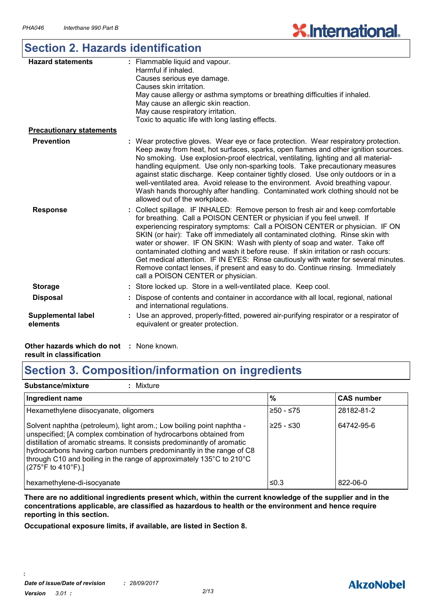# **X.International**

### **Section 2. Hazards identification**

| <b>Hazard statements</b>              | : Flammable liquid and vapour.<br>Harmful if inhaled.<br>Causes serious eye damage.<br>Causes skin irritation.<br>May cause allergy or asthma symptoms or breathing difficulties if inhaled.<br>May cause an allergic skin reaction.<br>May cause respiratory irritation.<br>Toxic to aquatic life with long lasting effects.                                                                                                                                                                                                                                                                                                                                                                                 |
|---------------------------------------|---------------------------------------------------------------------------------------------------------------------------------------------------------------------------------------------------------------------------------------------------------------------------------------------------------------------------------------------------------------------------------------------------------------------------------------------------------------------------------------------------------------------------------------------------------------------------------------------------------------------------------------------------------------------------------------------------------------|
| <b>Precautionary statements</b>       |                                                                                                                                                                                                                                                                                                                                                                                                                                                                                                                                                                                                                                                                                                               |
| <b>Prevention</b>                     | Wear protective gloves. Wear eye or face protection. Wear respiratory protection.<br>Keep away from heat, hot surfaces, sparks, open flames and other ignition sources.<br>No smoking. Use explosion-proof electrical, ventilating, lighting and all material-<br>handling equipment. Use only non-sparking tools. Take precautionary measures<br>against static discharge. Keep container tightly closed. Use only outdoors or in a<br>well-ventilated area. Avoid release to the environment. Avoid breathing vapour.<br>Wash hands thoroughly after handling. Contaminated work clothing should not be<br>allowed out of the workplace.                                                                    |
| <b>Response</b>                       | Collect spillage. IF INHALED: Remove person to fresh air and keep comfortable<br>for breathing. Call a POISON CENTER or physician if you feel unwell. If<br>experiencing respiratory symptoms: Call a POISON CENTER or physician. IF ON<br>SKIN (or hair): Take off immediately all contaminated clothing. Rinse skin with<br>water or shower. IF ON SKIN: Wash with plenty of soap and water. Take off<br>contaminated clothing and wash it before reuse. If skin irritation or rash occurs:<br>Get medical attention. IF IN EYES: Rinse cautiously with water for several minutes.<br>Remove contact lenses, if present and easy to do. Continue rinsing. Immediately<br>call a POISON CENTER or physician. |
| <b>Storage</b>                        | Store locked up. Store in a well-ventilated place. Keep cool.                                                                                                                                                                                                                                                                                                                                                                                                                                                                                                                                                                                                                                                 |
| <b>Disposal</b>                       | Dispose of contents and container in accordance with all local, regional, national<br>and international regulations.                                                                                                                                                                                                                                                                                                                                                                                                                                                                                                                                                                                          |
| <b>Supplemental label</b><br>elements | Use an approved, properly-fitted, powered air-purifying respirator or a respirator of<br>equivalent or greater protection.                                                                                                                                                                                                                                                                                                                                                                                                                                                                                                                                                                                    |

**Other hazards which do not :** None known. **result in classification**

### **Section 3. Composition/information on ingredients**

**Substance/mixture :** Mixture

| Ingredient name                                                                                                                                                                                                                                                                                                                                                                                                    | $\frac{9}{6}$ | <b>CAS number</b> |
|--------------------------------------------------------------------------------------------------------------------------------------------------------------------------------------------------------------------------------------------------------------------------------------------------------------------------------------------------------------------------------------------------------------------|---------------|-------------------|
| Hexamethylene diisocyanate, oligomers                                                                                                                                                                                                                                                                                                                                                                              | ≥50 - ≤75     | 28182-81-2        |
| Solvent naphtha (petroleum), light arom.; Low boiling point naphtha -<br>unspecified; [A complex combination of hydrocarbons obtained from<br>distillation of aromatic streams. It consists predominantly of aromatic<br>hydrocarbons having carbon numbers predominantly in the range of C8<br>through C10 and boiling in the range of approximately 135°C to 210°C<br>$(275^{\circ}F \text{ to } 410^{\circ}F).$ | l≥25 - ≤30    | 64742-95-6        |
| hexamethylene-di-isocyanate                                                                                                                                                                                                                                                                                                                                                                                        | ≤0.3          | 822-06-0          |

**There are no additional ingredients present which, within the current knowledge of the supplier and in the concentrations applicable, are classified as hazardous to health or the environment and hence require reporting in this section.**

**Occupational exposure limits, if available, are listed in Section 8.**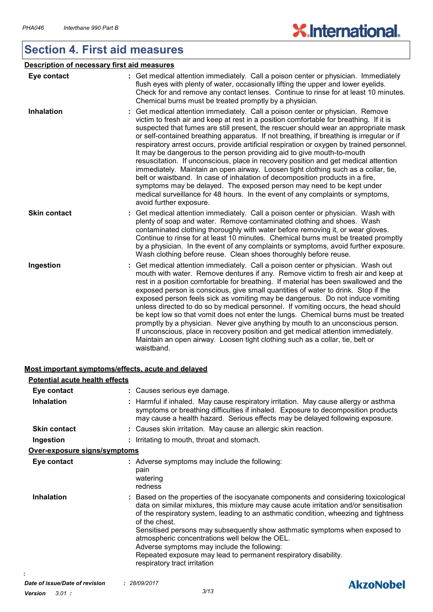### **Section 4. First aid measures**

| Description of necessary first aid measures |                                                                                                                                                                                                                                                                                                                                                                                                                                                                                                                                                                                                                                                                                                                                                                                                                                                                                                                                                                                        |  |  |
|---------------------------------------------|----------------------------------------------------------------------------------------------------------------------------------------------------------------------------------------------------------------------------------------------------------------------------------------------------------------------------------------------------------------------------------------------------------------------------------------------------------------------------------------------------------------------------------------------------------------------------------------------------------------------------------------------------------------------------------------------------------------------------------------------------------------------------------------------------------------------------------------------------------------------------------------------------------------------------------------------------------------------------------------|--|--|
| Eye contact                                 | : Get medical attention immediately. Call a poison center or physician. Immediately<br>flush eyes with plenty of water, occasionally lifting the upper and lower eyelids.<br>Check for and remove any contact lenses. Continue to rinse for at least 10 minutes.<br>Chemical burns must be treated promptly by a physician.                                                                                                                                                                                                                                                                                                                                                                                                                                                                                                                                                                                                                                                            |  |  |
| <b>Inhalation</b>                           | : Get medical attention immediately. Call a poison center or physician. Remove<br>victim to fresh air and keep at rest in a position comfortable for breathing. If it is<br>suspected that fumes are still present, the rescuer should wear an appropriate mask<br>or self-contained breathing apparatus. If not breathing, if breathing is irregular or if<br>respiratory arrest occurs, provide artificial respiration or oxygen by trained personnel.<br>It may be dangerous to the person providing aid to give mouth-to-mouth<br>resuscitation. If unconscious, place in recovery position and get medical attention<br>immediately. Maintain an open airway. Loosen tight clothing such as a collar, tie,<br>belt or waistband. In case of inhalation of decomposition products in a fire,<br>symptoms may be delayed. The exposed person may need to be kept under<br>medical surveillance for 48 hours. In the event of any complaints or symptoms,<br>avoid further exposure. |  |  |
| <b>Skin contact</b>                         | : Get medical attention immediately. Call a poison center or physician. Wash with<br>plenty of soap and water. Remove contaminated clothing and shoes. Wash<br>contaminated clothing thoroughly with water before removing it, or wear gloves.<br>Continue to rinse for at least 10 minutes. Chemical burns must be treated promptly<br>by a physician. In the event of any complaints or symptoms, avoid further exposure.<br>Wash clothing before reuse. Clean shoes thoroughly before reuse.                                                                                                                                                                                                                                                                                                                                                                                                                                                                                        |  |  |
| Ingestion                                   | : Get medical attention immediately. Call a poison center or physician. Wash out<br>mouth with water. Remove dentures if any. Remove victim to fresh air and keep at<br>rest in a position comfortable for breathing. If material has been swallowed and the<br>exposed person is conscious, give small quantities of water to drink. Stop if the<br>exposed person feels sick as vomiting may be dangerous. Do not induce vomiting<br>unless directed to do so by medical personnel. If vomiting occurs, the head should<br>be kept low so that vomit does not enter the lungs. Chemical burns must be treated<br>promptly by a physician. Never give anything by mouth to an unconscious person.<br>If unconscious, place in recovery position and get medical attention immediately.<br>Maintain an open airway. Loosen tight clothing such as a collar, tie, belt or<br>waistband.                                                                                                 |  |  |

#### **Most important symptoms/effects, acute and delayed**

| <b>Potential acute health effects</b> |                                                                                                                                                                                                                                                                                                                                                                                                                                                                                                                                                                            |
|---------------------------------------|----------------------------------------------------------------------------------------------------------------------------------------------------------------------------------------------------------------------------------------------------------------------------------------------------------------------------------------------------------------------------------------------------------------------------------------------------------------------------------------------------------------------------------------------------------------------------|
| Eye contact                           | : Causes serious eye damage.                                                                                                                                                                                                                                                                                                                                                                                                                                                                                                                                               |
| <b>Inhalation</b>                     | : Harmful if inhaled. May cause respiratory irritation. May cause allergy or asthma<br>symptoms or breathing difficulties if inhaled. Exposure to decomposition products<br>may cause a health hazard. Serious effects may be delayed following exposure.                                                                                                                                                                                                                                                                                                                  |
| <b>Skin contact</b>                   | : Causes skin irritation. May cause an allergic skin reaction.                                                                                                                                                                                                                                                                                                                                                                                                                                                                                                             |
| Ingestion                             | : Irritating to mouth, throat and stomach.                                                                                                                                                                                                                                                                                                                                                                                                                                                                                                                                 |
| Over-exposure signs/symptoms          |                                                                                                                                                                                                                                                                                                                                                                                                                                                                                                                                                                            |
| Eye contact                           | : Adverse symptoms may include the following:<br>pain<br>watering<br>redness                                                                                                                                                                                                                                                                                                                                                                                                                                                                                               |
| <b>Inhalation</b>                     | : Based on the properties of the isocyanate components and considering toxicological<br>data on similar mixtures, this mixture may cause acute irritation and/or sensitisation<br>of the respiratory system, leading to an asthmatic condition, wheezing and tightness<br>of the chest.<br>Sensitised persons may subsequently show asthmatic symptoms when exposed to<br>atmospheric concentrations well below the OEL.<br>Adverse symptoms may include the following:<br>Repeated exposure may lead to permanent respiratory disability.<br>respiratory tract irritation |

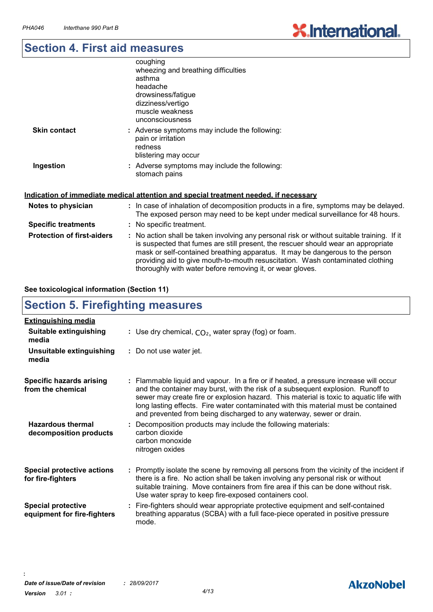## **Section 4. First aid measures**

|                                   | coughing<br>wheezing and breathing difficulties<br>asthma<br>headache<br>drowsiness/fatigue<br>dizziness/vertigo<br>muscle weakness<br>unconsciousness                                                                                                                                                                                                                                                          |
|-----------------------------------|-----------------------------------------------------------------------------------------------------------------------------------------------------------------------------------------------------------------------------------------------------------------------------------------------------------------------------------------------------------------------------------------------------------------|
| <b>Skin contact</b>               | : Adverse symptoms may include the following:<br>pain or irritation<br>redness<br>blistering may occur                                                                                                                                                                                                                                                                                                          |
| Ingestion                         | : Adverse symptoms may include the following:<br>stomach pains                                                                                                                                                                                                                                                                                                                                                  |
|                                   | Indication of immediate medical attention and special treatment needed, if necessary                                                                                                                                                                                                                                                                                                                            |
| Notes to physician                | : In case of inhalation of decomposition products in a fire, symptoms may be delayed.<br>The exposed person may need to be kept under medical surveillance for 48 hours.                                                                                                                                                                                                                                        |
| <b>Specific treatments</b>        | : No specific treatment.                                                                                                                                                                                                                                                                                                                                                                                        |
| <b>Protection of first-aiders</b> | : No action shall be taken involving any personal risk or without suitable training. If it<br>is suspected that fumes are still present, the rescuer should wear an appropriate<br>mask or self-contained breathing apparatus. It may be dangerous to the person<br>providing aid to give mouth-to-mouth resuscitation. Wash contaminated clothing<br>thoroughly with water before removing it, or wear gloves. |

#### **See toxicological information (Section 11)**

### **Section 5. Firefighting measures**

| <b>Extinguishing media</b>                               |                                                                                                                                                                                                                                                                                                                                                                                                                                  |
|----------------------------------------------------------|----------------------------------------------------------------------------------------------------------------------------------------------------------------------------------------------------------------------------------------------------------------------------------------------------------------------------------------------------------------------------------------------------------------------------------|
| <b>Suitable extinguishing</b><br>media                   | : Use dry chemical, $CO2$ , water spray (fog) or foam.                                                                                                                                                                                                                                                                                                                                                                           |
| Unsuitable extinguishing<br>media                        | : Do not use water jet.                                                                                                                                                                                                                                                                                                                                                                                                          |
| <b>Specific hazards arising</b><br>from the chemical     | : Flammable liquid and vapour. In a fire or if heated, a pressure increase will occur<br>and the container may burst, with the risk of a subsequent explosion. Runoff to<br>sewer may create fire or explosion hazard. This material is toxic to aquatic life with<br>long lasting effects. Fire water contaminated with this material must be contained<br>and prevented from being discharged to any waterway, sewer or drain. |
| <b>Hazardous thermal</b><br>decomposition products       | : Decomposition products may include the following materials:<br>carbon dioxide<br>carbon monoxide<br>nitrogen oxides                                                                                                                                                                                                                                                                                                            |
| <b>Special protective actions</b><br>for fire-fighters   | : Promptly isolate the scene by removing all persons from the vicinity of the incident if<br>there is a fire. No action shall be taken involving any personal risk or without<br>suitable training. Move containers from fire area if this can be done without risk.<br>Use water spray to keep fire-exposed containers cool.                                                                                                    |
| <b>Special protective</b><br>equipment for fire-fighters | : Fire-fighters should wear appropriate protective equipment and self-contained<br>breathing apparatus (SCBA) with a full face-piece operated in positive pressure<br>mode.                                                                                                                                                                                                                                                      |

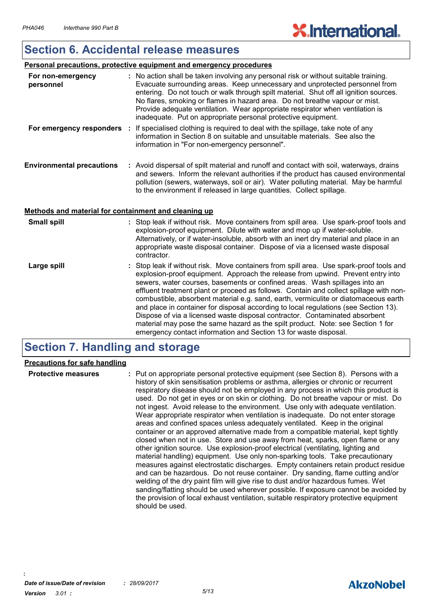### **Section 6. Accidental release measures**

#### **Personal precautions, protective equipment and emergency procedures**

| For non-emergency<br>personnel                       | : No action shall be taken involving any personal risk or without suitable training.<br>Evacuate surrounding areas. Keep unnecessary and unprotected personnel from<br>entering. Do not touch or walk through spilt material. Shut off all ignition sources.<br>No flares, smoking or flames in hazard area. Do not breathe vapour or mist.<br>Provide adequate ventilation. Wear appropriate respirator when ventilation is<br>inadequate. Put on appropriate personal protective equipment. |
|------------------------------------------------------|-----------------------------------------------------------------------------------------------------------------------------------------------------------------------------------------------------------------------------------------------------------------------------------------------------------------------------------------------------------------------------------------------------------------------------------------------------------------------------------------------|
|                                                      | For emergency responders : If specialised clothing is required to deal with the spillage, take note of any<br>information in Section 8 on suitable and unsuitable materials. See also the<br>information in "For non-emergency personnel".                                                                                                                                                                                                                                                    |
| <b>Environmental precautions</b>                     | : Avoid dispersal of spilt material and runoff and contact with soil, waterways, drains<br>and sewers. Inform the relevant authorities if the product has caused environmental<br>pollution (sewers, waterways, soil or air). Water polluting material. May be harmful<br>to the environment if released in large quantities. Collect spillage.                                                                                                                                               |
| Methods and material for containment and cleaning up |                                                                                                                                                                                                                                                                                                                                                                                                                                                                                               |
| <b>Small spill</b>                                   | : Stop leak if without risk. Move containers from spill area. Use spark-proof tools and<br>explosion-proof equipment. Dilute with water and mop up if water-soluble.<br>Alternatively, or if water-insoluble, absorb with an inert dry material and place in an<br>appropriate waste disposal container. Dispose of via a licensed waste disposal<br>contractor.                                                                                                                              |
| Large spill                                          | : Stop leak if without risk. Move containers from spill area. Use spark-proof tools and<br>explosion-proof equipment. Approach the release from upwind. Prevent entry into<br>sewers, water courses, basements or confined areas. Wash spillages into an<br>effluent treatment plant or proceed as follows. Contain and collect spillage with non-<br>combustible, absorbent material e.g. sand, earth, vermiculite or diatomaceous earth                                                     |

and place in container for disposal according to local regulations (see Section 13). Dispose of via a licensed waste disposal contractor. Contaminated absorbent material may pose the same hazard as the spilt product. Note: see Section 1 for emergency contact information and Section 13 for waste disposal.

### **Section 7. Handling and storage**

#### **Precautions for safe handling**

| <b>Protective measures</b> | : Put on appropriate personal protective equipment (see Section 8). Persons with a<br>history of skin sensitisation problems or asthma, allergies or chronic or recurrent<br>respiratory disease should not be employed in any process in which this product is<br>used. Do not get in eyes or on skin or clothing. Do not breathe vapour or mist. Do<br>not ingest. Avoid release to the environment. Use only with adequate ventilation.<br>Wear appropriate respirator when ventilation is inadequate. Do not enter storage<br>areas and confined spaces unless adequately ventilated. Keep in the original<br>container or an approved alternative made from a compatible material, kept tightly<br>closed when not in use. Store and use away from heat, sparks, open flame or any<br>other ignition source. Use explosion-proof electrical (ventilating, lighting and<br>material handling) equipment. Use only non-sparking tools. Take precautionary<br>measures against electrostatic discharges. Empty containers retain product residue<br>and can be hazardous. Do not reuse container. Dry sanding, flame cutting and/or<br>welding of the dry paint film will give rise to dust and/or hazardous fumes. Wet<br>sanding/flatting should be used wherever possible. If exposure cannot be avoided by<br>the provision of local exhaust ventilation, suitable respiratory protective equipment<br>should be used. |
|----------------------------|------------------------------------------------------------------------------------------------------------------------------------------------------------------------------------------------------------------------------------------------------------------------------------------------------------------------------------------------------------------------------------------------------------------------------------------------------------------------------------------------------------------------------------------------------------------------------------------------------------------------------------------------------------------------------------------------------------------------------------------------------------------------------------------------------------------------------------------------------------------------------------------------------------------------------------------------------------------------------------------------------------------------------------------------------------------------------------------------------------------------------------------------------------------------------------------------------------------------------------------------------------------------------------------------------------------------------------------------------------------------------------------------------------------------------|
|                            |                                                                                                                                                                                                                                                                                                                                                                                                                                                                                                                                                                                                                                                                                                                                                                                                                                                                                                                                                                                                                                                                                                                                                                                                                                                                                                                                                                                                                              |

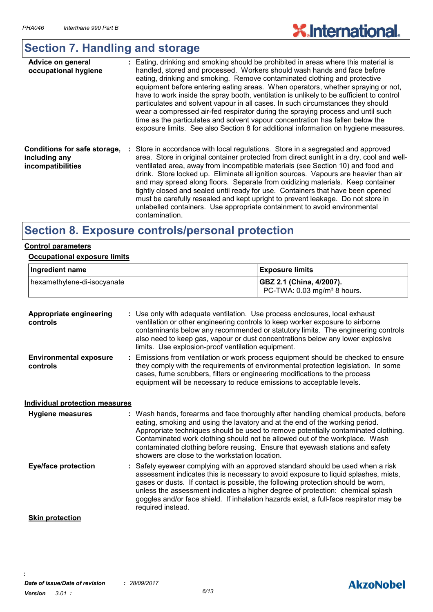# **X.International.**

## **Section 7. Handling and storage**

| Advice on general<br>occupational hygiene                          | : Eating, drinking and smoking should be prohibited in areas where this material is<br>handled, stored and processed. Workers should wash hands and face before<br>eating, drinking and smoking. Remove contaminated clothing and protective<br>equipment before entering eating areas. When operators, whether spraying or not,<br>have to work inside the spray booth, ventilation is unlikely to be sufficient to control<br>particulates and solvent vapour in all cases. In such circumstances they should<br>wear a compressed air-fed respirator during the spraying process and until such<br>time as the particulates and solvent vapour concentration has fallen below the<br>exposure limits. See also Section 8 for additional information on hygiene measures. |
|--------------------------------------------------------------------|-----------------------------------------------------------------------------------------------------------------------------------------------------------------------------------------------------------------------------------------------------------------------------------------------------------------------------------------------------------------------------------------------------------------------------------------------------------------------------------------------------------------------------------------------------------------------------------------------------------------------------------------------------------------------------------------------------------------------------------------------------------------------------|
| Conditions for safe storage,<br>including any<br>incompatibilities | : Store in accordance with local regulations. Store in a segregated and approved<br>area. Store in original container protected from direct sunlight in a dry, cool and well-<br>ventilated area, away from incompatible materials (see Section 10) and food and<br>drink. Store locked up. Eliminate all ignition sources. Vapours are heavier than air<br>and may spread along floors. Separate from oxidizing materials. Keep container<br>tightly closed and sealed until ready for use. Containers that have been opened<br>must be carefully resealed and kept upright to prevent leakage. Do not store in<br>unlabelled containers. Use appropriate containment to avoid environmental<br>contamination.                                                             |

### **Section 8. Exposure controls/personal protection**

#### **Control parameters**

#### **Occupational exposure limits**

| Ingredient name             | Exposure limits                                                       |  |
|-----------------------------|-----------------------------------------------------------------------|--|
| hexamethylene-di-isocyanate | GBZ 2.1 (China, 4/2007).<br>PC-TWA: $0.03$ mg/m <sup>3</sup> 8 hours. |  |

| <b>Appropriate engineering</b><br>controls | : Use only with adequate ventilation. Use process enclosures, local exhaust<br>ventilation or other engineering controls to keep worker exposure to airborne<br>contaminants below any recommended or statutory limits. The engineering controls<br>also need to keep gas, vapour or dust concentrations below any lower explosive<br>limits. Use explosion-proof ventilation equipment.                                                                                    |
|--------------------------------------------|-----------------------------------------------------------------------------------------------------------------------------------------------------------------------------------------------------------------------------------------------------------------------------------------------------------------------------------------------------------------------------------------------------------------------------------------------------------------------------|
| <b>Environmental exposure</b><br>controls  | : Emissions from ventilation or work process equipment should be checked to ensure<br>they comply with the requirements of environmental protection legislation. In some<br>cases, fume scrubbers, filters or engineering modifications to the process<br>equipment will be necessary to reduce emissions to acceptable levels.                                                                                                                                             |
| <b>Individual protection measures</b>      |                                                                                                                                                                                                                                                                                                                                                                                                                                                                             |
| <b>Hygiene measures</b>                    | : Wash hands, forearms and face thoroughly after handling chemical products, before<br>eating, smoking and using the lavatory and at the end of the working period.<br>Appropriate techniques should be used to remove potentially contaminated clothing.<br>Contaminated work clothing should not be allowed out of the workplace. Wash<br>contaminated clothing before reusing. Ensure that eyewash stations and safety<br>showers are close to the workstation location. |
| <b>Eye/face protection</b>                 | : Safety eyewear complying with an approved standard should be used when a risk<br>assessment indicates this is necessary to avoid exposure to liquid splashes, mists,<br>gases or dusts. If contact is possible, the following protection should be worn,<br>unless the assessment indicates a higher degree of protection: chemical splash<br>goggles and/or face shield. If inhalation hazards exist, a full-face respirator may be<br>required instead.                 |
| <b>Skin protection</b>                     |                                                                                                                                                                                                                                                                                                                                                                                                                                                                             |

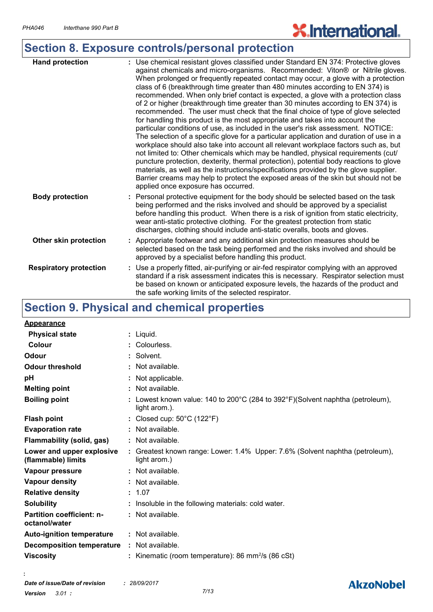# **X.International.**

# **Section 8. Exposure controls/personal protection**

| <b>Hand protection</b>        | : Use chemical resistant gloves classified under Standard EN 374: Protective gloves<br>against chemicals and micro-organisms. Recommended: Viton® or Nitrile gloves.<br>When prolonged or frequently repeated contact may occur, a glove with a protection<br>class of 6 (breakthrough time greater than 480 minutes according to EN 374) is<br>recommended. When only brief contact is expected, a glove with a protection class<br>of 2 or higher (breakthrough time greater than 30 minutes according to EN 374) is<br>recommended. The user must check that the final choice of type of glove selected<br>for handling this product is the most appropriate and takes into account the<br>particular conditions of use, as included in the user's risk assessment. NOTICE:<br>The selection of a specific glove for a particular application and duration of use in a<br>workplace should also take into account all relevant workplace factors such as, but<br>not limited to: Other chemicals which may be handled, physical requirements (cut/<br>puncture protection, dexterity, thermal protection), potential body reactions to glove<br>materials, as well as the instructions/specifications provided by the glove supplier.<br>Barrier creams may help to protect the exposed areas of the skin but should not be<br>applied once exposure has occurred. |
|-------------------------------|-----------------------------------------------------------------------------------------------------------------------------------------------------------------------------------------------------------------------------------------------------------------------------------------------------------------------------------------------------------------------------------------------------------------------------------------------------------------------------------------------------------------------------------------------------------------------------------------------------------------------------------------------------------------------------------------------------------------------------------------------------------------------------------------------------------------------------------------------------------------------------------------------------------------------------------------------------------------------------------------------------------------------------------------------------------------------------------------------------------------------------------------------------------------------------------------------------------------------------------------------------------------------------------------------------------------------------------------------------------------------|
| <b>Body protection</b>        | Personal protective equipment for the body should be selected based on the task<br>being performed and the risks involved and should be approved by a specialist<br>before handling this product. When there is a risk of ignition from static electricity,<br>wear anti-static protective clothing. For the greatest protection from static<br>discharges, clothing should include anti-static overalls, boots and gloves.                                                                                                                                                                                                                                                                                                                                                                                                                                                                                                                                                                                                                                                                                                                                                                                                                                                                                                                                           |
| Other skin protection         | : Appropriate footwear and any additional skin protection measures should be<br>selected based on the task being performed and the risks involved and should be<br>approved by a specialist before handling this product.                                                                                                                                                                                                                                                                                                                                                                                                                                                                                                                                                                                                                                                                                                                                                                                                                                                                                                                                                                                                                                                                                                                                             |
| <b>Respiratory protection</b> | : Use a properly fitted, air-purifying or air-fed respirator complying with an approved<br>standard if a risk assessment indicates this is necessary. Respirator selection must<br>be based on known or anticipated exposure levels, the hazards of the product and<br>the safe working limits of the selected respirator.                                                                                                                                                                                                                                                                                                                                                                                                                                                                                                                                                                                                                                                                                                                                                                                                                                                                                                                                                                                                                                            |

## **Section 9. Physical and chemical properties**

| Appearance                                        |                                                                                               |
|---------------------------------------------------|-----------------------------------------------------------------------------------------------|
| <b>Physical state</b>                             | : Liquid.                                                                                     |
| Colour                                            | Colourless.                                                                                   |
| Odour                                             | : Solvent.                                                                                    |
| <b>Odour threshold</b>                            | : Not available.                                                                              |
| pH                                                | Not applicable.                                                                               |
| <b>Melting point</b>                              | : Not available.                                                                              |
| <b>Boiling point</b>                              | Lowest known value: 140 to 200°C (284 to 392°F)(Solvent naphtha (petroleum),<br>light arom.). |
| <b>Flash point</b>                                | : Closed cup: $50^{\circ}$ C (122 $^{\circ}$ F)                                               |
| <b>Evaporation rate</b>                           | : Not available.                                                                              |
| <b>Flammability (solid, gas)</b>                  | : Not available.                                                                              |
| Lower and upper explosive<br>(flammable) limits   | : Greatest known range: Lower: 1.4% Upper: 7.6% (Solvent naphtha (petroleum),<br>light arom.) |
| Vapour pressure                                   | : Not available.                                                                              |
| Vapour density                                    | : Not available.                                                                              |
| <b>Relative density</b>                           | : 1.07                                                                                        |
| <b>Solubility</b>                                 | Insoluble in the following materials: cold water.                                             |
| <b>Partition coefficient: n-</b><br>octanol/water | : Not available.                                                                              |
| <b>Auto-ignition temperature</b>                  | : Not available.                                                                              |
| <b>Decomposition temperature</b>                  | : Not available.                                                                              |
| <b>Viscosity</b>                                  | Kinematic (room temperature): 86 mm $\frac{2}{s}$ (86 cSt)                                    |

**:**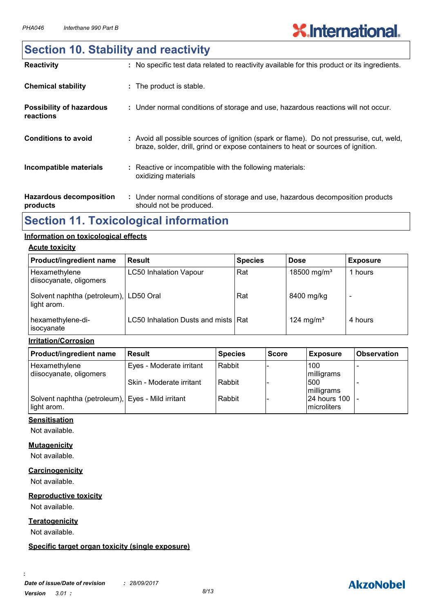### **Section 10. Stability and reactivity**

| <b>Reactivity</b>                            | : No specific test data related to reactivity available for this product or its ingredients.                                                                                 |
|----------------------------------------------|------------------------------------------------------------------------------------------------------------------------------------------------------------------------------|
| <b>Chemical stability</b>                    | : The product is stable.                                                                                                                                                     |
| <b>Possibility of hazardous</b><br>reactions | : Under normal conditions of storage and use, hazardous reactions will not occur.                                                                                            |
| <b>Conditions to avoid</b>                   | : Avoid all possible sources of ignition (spark or flame). Do not pressurise, cut, weld,<br>braze, solder, drill, grind or expose containers to heat or sources of ignition. |
| Incompatible materials                       | : Reactive or incompatible with the following materials:<br>oxidizing materials                                                                                              |
| <b>Hazardous decomposition</b><br>products   | : Under normal conditions of storage and use, hazardous decomposition products<br>should not be produced.                                                                    |

### **Section 11. Toxicological information**

#### **Information on toxicological effects**

#### **Acute toxicity**

| Product/ingredient name                               | Result                              | <b>Species</b> | <b>Dose</b>             | <b>Exposure</b> |
|-------------------------------------------------------|-------------------------------------|----------------|-------------------------|-----------------|
| Hexamethylene<br>diisocyanate, oligomers              | <b>LC50 Inhalation Vapour</b>       | Rat            | 18500 mg/m <sup>3</sup> | 1 hours         |
| Solvent naphtha (petroleum), LD50 Oral<br>light arom. |                                     | Rat            | 8400 mg/kg              |                 |
| hexamethylene-di-<br>isocyanate                       | LC50 Inhalation Dusts and mists Rat |                | 124 mg/m <sup>3</sup>   | 4 hours         |

#### **Irritation/Corrosion**

| <b>Product/ingredient name</b>                    | <b>Result</b>            | <b>Species</b> | <b>Score</b> | <b>Exposure</b>            | <b>Observation</b> |
|---------------------------------------------------|--------------------------|----------------|--------------|----------------------------|--------------------|
| Hexamethylene                                     | Eyes - Moderate irritant | Rabbit         |              | 100                        |                    |
| diisocyanate, oligomers                           | Skin - Moderate irritant | Rabbit         |              | milligrams<br>500          |                    |
| Solvent naphtha (petroleum), Eyes - Mild irritant |                          | Rabbit         |              | milligrams<br>24 hours 100 |                    |
| light arom.                                       |                          |                |              | <b>Imicroliters</b>        |                    |

#### **Sensitisation**

Not available.

#### **Mutagenicity**

Not available.

#### **Carcinogenicity**

Not available.

#### **Reproductive toxicity**

Not available.

#### **Teratogenicity**

Not available.

**:**

#### **Specific target organ toxicity (single exposure)**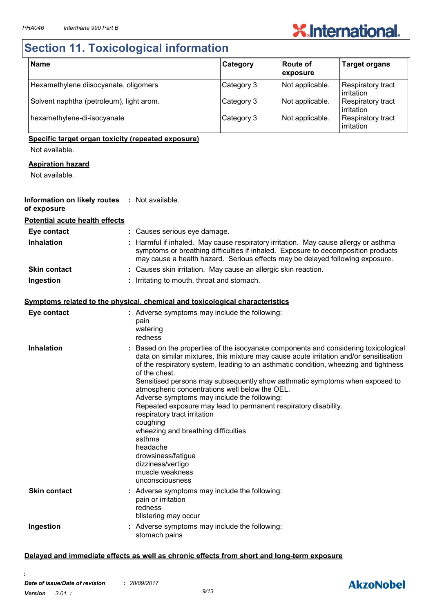# **X.International.**

## **Section 11. Toxicological information**

| <b>Name</b>                              | Category   | Route of<br>exposure | <b>Target organs</b>                   |
|------------------------------------------|------------|----------------------|----------------------------------------|
| Hexamethylene diisocyanate, oligomers    | Category 3 | Not applicable.      | Respiratory tract<br>irritation        |
| Solvent naphtha (petroleum), light arom. | Category 3 | Not applicable.      | <b>Respiratory tract</b><br>irritation |
| hexamethylene-di-isocyanate              | Category 3 | Not applicable.      | Respiratory tract<br>irritation        |

#### **Specific target organ toxicity (repeated exposure)**

Not available.

#### **Aspiration hazard**

Not available.

#### **Information on likely routes :** Not available. **of exposure**

#### **Potential acute health effects**

| Eye contact         | : Causes serious eye damage.                                                                                                                                                                                                                              |
|---------------------|-----------------------------------------------------------------------------------------------------------------------------------------------------------------------------------------------------------------------------------------------------------|
| <b>Inhalation</b>   | : Harmful if inhaled. May cause respiratory irritation. May cause allergy or asthma<br>symptoms or breathing difficulties if inhaled. Exposure to decomposition products<br>may cause a health hazard. Serious effects may be delayed following exposure. |
| <b>Skin contact</b> | : Causes skin irritation. May cause an allergic skin reaction.                                                                                                                                                                                            |
| Ingestion           | : Irritating to mouth, throat and stomach.                                                                                                                                                                                                                |

#### **Symptoms related to the physical, chemical and toxicological characteristics**

| Eye contact         | : Adverse symptoms may include the following:<br>pain<br>watering<br>redness                                                                                                                                                                                                                                                                                                                                                                                                                                                                                                                                                                                                                                                       |
|---------------------|------------------------------------------------------------------------------------------------------------------------------------------------------------------------------------------------------------------------------------------------------------------------------------------------------------------------------------------------------------------------------------------------------------------------------------------------------------------------------------------------------------------------------------------------------------------------------------------------------------------------------------------------------------------------------------------------------------------------------------|
| <b>Inhalation</b>   | Based on the properties of the isocyanate components and considering toxicological<br>data on similar mixtures, this mixture may cause acute irritation and/or sensitisation<br>of the respiratory system, leading to an asthmatic condition, wheezing and tightness<br>of the chest.<br>Sensitised persons may subsequently show asthmatic symptoms when exposed to<br>atmospheric concentrations well below the OEL.<br>Adverse symptoms may include the following:<br>Repeated exposure may lead to permanent respiratory disability.<br>respiratory tract irritation<br>coughing<br>wheezing and breathing difficulties<br>asthma<br>headache<br>drowsiness/fatigue<br>dizziness/vertigo<br>muscle weakness<br>unconsciousness |
| <b>Skin contact</b> | Adverse symptoms may include the following:<br>pain or irritation<br>redness<br>blistering may occur                                                                                                                                                                                                                                                                                                                                                                                                                                                                                                                                                                                                                               |
| Ingestion           | : Adverse symptoms may include the following:<br>stomach pains                                                                                                                                                                                                                                                                                                                                                                                                                                                                                                                                                                                                                                                                     |

#### **Delayed and immediate effects as well as chronic effects from short and long-term exposure**

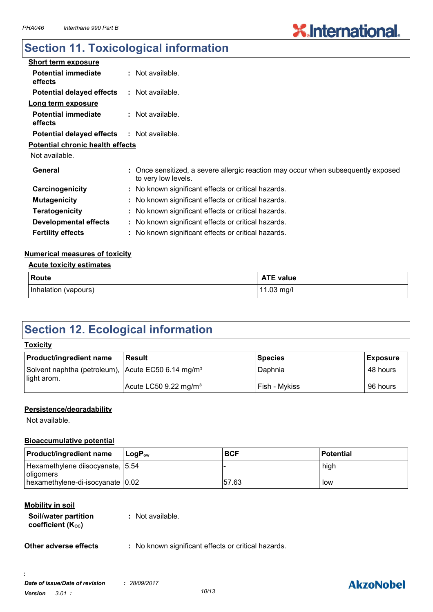## **Section 11. Toxicological information**

| <b>Short term exposure</b>                        |                                                                                                          |  |
|---------------------------------------------------|----------------------------------------------------------------------------------------------------------|--|
| <b>Potential immediate</b><br>effects             | $:$ Not available.                                                                                       |  |
| <b>Potential delayed effects</b>                  | : Not available.                                                                                         |  |
| Long term exposure                                |                                                                                                          |  |
| <b>Potential immediate</b><br>effects             | : Not available.                                                                                         |  |
| <b>Potential delayed effects : Not available.</b> |                                                                                                          |  |
| <b>Potential chronic health effects</b>           |                                                                                                          |  |
| Not available.                                    |                                                                                                          |  |
| General                                           | : Once sensitized, a severe allergic reaction may occur when subsequently exposed<br>to very low levels. |  |
| Carcinogenicity                                   | : No known significant effects or critical hazards.                                                      |  |
| <b>Mutagenicity</b>                               | : No known significant effects or critical hazards.                                                      |  |
| <b>Teratogenicity</b>                             | : No known significant effects or critical hazards.                                                      |  |
| <b>Developmental effects</b>                      | : No known significant effects or critical hazards.                                                      |  |
| <b>Fertility effects</b>                          | : No known significant effects or critical hazards.                                                      |  |

#### **Numerical measures of toxicity**

#### **Acute toxicity estimates**

| Route                | <b>ATE value</b> |
|----------------------|------------------|
| Inhalation (vapours) | 11.03 mg/l       |

### **Section 12. Ecological information**

| <b>Toxicity</b>                                                               |                                   |                |                 |  |
|-------------------------------------------------------------------------------|-----------------------------------|----------------|-----------------|--|
| <b>Product/ingredient name</b>                                                | <b>Result</b>                     | <b>Species</b> | <b>Exposure</b> |  |
| Solvent naphtha (petroleum), Acute EC50 6.14 mg/m <sup>3</sup><br>light arom. |                                   | Daphnia        | 48 hours        |  |
|                                                                               | Acute LC50 9.22 mg/m <sup>3</sup> | Fish - Mykiss  | 96 hours        |  |

#### **Persistence/degradability**

Not available.

#### **Bioaccumulative potential**

| <b>Product/ingredient name</b>                         | $\mathsf{LocP}_\infty$ | <b>BCF</b> | <b>Potential</b> |
|--------------------------------------------------------|------------------------|------------|------------------|
| Hexamethylene diisocyanate, 5.54<br><i>I</i> oligomers |                        |            | high             |
| hexamethylene-di-isocyanate 0.02                       |                        | 57.63      | low              |

#### **Mobility in soil**

**:**

| Soil/water partition<br>coefficient (Koc) | : Not available. |
|-------------------------------------------|------------------|
|                                           |                  |

**Other adverse effects** : No known significant effects or critical hazards.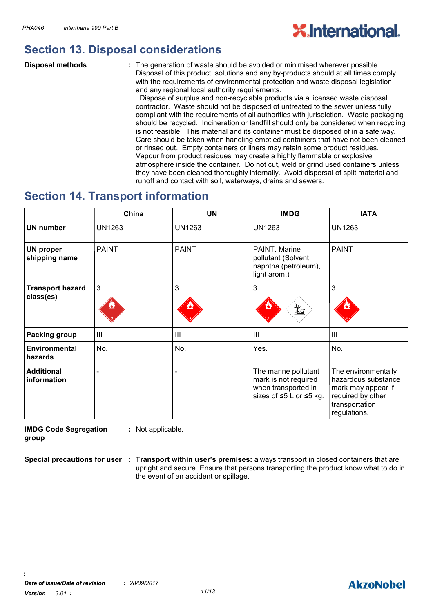### **Section 13. Disposal considerations**

**Disposal methods :**

The generation of waste should be avoided or minimised wherever possible. Disposal of this product, solutions and any by-products should at all times comply with the requirements of environmental protection and waste disposal legislation and any regional local authority requirements.

 Dispose of surplus and non-recyclable products via a licensed waste disposal contractor. Waste should not be disposed of untreated to the sewer unless fully compliant with the requirements of all authorities with jurisdiction. Waste packaging should be recycled. Incineration or landfill should only be considered when recycling is not feasible. This material and its container must be disposed of in a safe way. Care should be taken when handling emptied containers that have not been cleaned or rinsed out. Empty containers or liners may retain some product residues. Vapour from product residues may create a highly flammable or explosive atmosphere inside the container. Do not cut, weld or grind used containers unless they have been cleaned thoroughly internally. Avoid dispersal of spilt material and runoff and contact with soil, waterways, drains and sewers.

### **Section 14. Transport information**

|                                      | China         | UN            | <b>IMDG</b>                                                                                    | <b>IATA</b>                                                                                                             |
|--------------------------------------|---------------|---------------|------------------------------------------------------------------------------------------------|-------------------------------------------------------------------------------------------------------------------------|
| <b>UN number</b>                     | <b>UN1263</b> | <b>UN1263</b> | <b>UN1263</b>                                                                                  | <b>UN1263</b>                                                                                                           |
| <b>UN proper</b><br>shipping name    | <b>PAINT</b>  | <b>PAINT</b>  | PAINT. Marine<br>pollutant (Solvent<br>naphtha (petroleum),<br>light arom.)                    | <b>PAINT</b>                                                                                                            |
| <b>Transport hazard</b><br>class(es) | 3             | 3             | 3<br>$\bigstar$                                                                                | 3                                                                                                                       |
| <b>Packing group</b>                 | III           | III           | $\mathbf{III}$                                                                                 | III                                                                                                                     |
| <b>Environmental</b><br>hazards      | No.           | No.           | Yes.                                                                                           | No.                                                                                                                     |
| <b>Additional</b><br>information     |               |               | The marine pollutant<br>mark is not required<br>when transported in<br>sizes of ≤5 L or ≤5 kg. | The environmentally<br>hazardous substance<br>mark may appear if<br>required by other<br>transportation<br>regulations. |

**IMDG Code Segregation group :** Not applicable.

**Special precautions for user : Transport within user's premises:** always transport in closed containers that are upright and secure. Ensure that persons transporting the product know what to do in the event of an accident or spillage.

**:**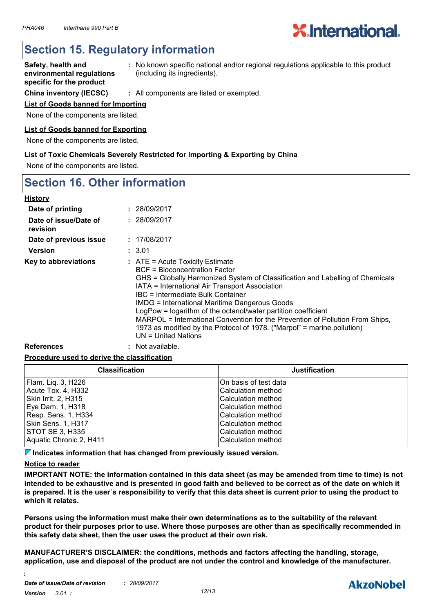### **Section 15. Regulatory information**

- **Safety, health and environmental regulations specific for the product :** No known specific national and/or regional regulations applicable to this product (including its ingredients).
- **China inventory (IECSC) :** All components are listed or exempted.

#### **List of Goods banned for Importing**

None of the components are listed.

#### **List of Goods banned for Exporting**

None of the components are listed.

**List of Toxic Chemicals Severely Restricted for Importing & Exporting by China**

None of the components are listed.

### **Section 16. Other information**

| <b>History</b>                    |                                                                                                                                                                                                                                                                                                                                                                                                                                                                                                                                                          |
|-----------------------------------|----------------------------------------------------------------------------------------------------------------------------------------------------------------------------------------------------------------------------------------------------------------------------------------------------------------------------------------------------------------------------------------------------------------------------------------------------------------------------------------------------------------------------------------------------------|
| Date of printing                  | : 28/09/2017                                                                                                                                                                                                                                                                                                                                                                                                                                                                                                                                             |
| Date of issue/Date of<br>revision | : 28/09/2017                                                                                                                                                                                                                                                                                                                                                                                                                                                                                                                                             |
| Date of previous issue            | : 17/08/2017                                                                                                                                                                                                                                                                                                                                                                                                                                                                                                                                             |
| <b>Version</b>                    | : 3.01                                                                                                                                                                                                                                                                                                                                                                                                                                                                                                                                                   |
| Key to abbreviations              | $:$ ATE = Acute Toxicity Estimate<br>BCF = Bioconcentration Factor<br>GHS = Globally Harmonized System of Classification and Labelling of Chemicals<br>IATA = International Air Transport Association<br>IBC = Intermediate Bulk Container<br><b>IMDG = International Maritime Dangerous Goods</b><br>LogPow = logarithm of the octanol/water partition coefficient<br>MARPOL = International Convention for the Prevention of Pollution From Ships,<br>1973 as modified by the Protocol of 1978. ("Marpol" = marine pollution)<br>$UN = United Nations$ |
| <b>References</b>                 | : Not available.                                                                                                                                                                                                                                                                                                                                                                                                                                                                                                                                         |

#### **Procedure used to derive the classification**

| <b>Classification</b>   | <b>Justification</b>      |
|-------------------------|---------------------------|
| Flam. Liq. 3, H226      | IOn basis of test data    |
| Acute Tox. 4, H332      | Calculation method        |
| Skin Irrit. 2, H315     | <b>Calculation method</b> |
| Eye Dam. 1, H318        | Calculation method        |
| Resp. Sens. 1, H334     | <b>Calculation method</b> |
| Skin Sens. 1, H317      | Calculation method        |
| <b>STOT SE 3, H335</b>  | <b>Calculation method</b> |
| Aquatic Chronic 2, H411 | <b>Calculation method</b> |

**Indicates information that has changed from previously issued version.**

#### **Notice to reader**

**:**

**IMPORTANT NOTE: the information contained in this data sheet (as may be amended from time to time) is not intended to be exhaustive and is presented in good faith and believed to be correct as of the date on which it is prepared. It is the userˈs responsibility to verify that this data sheet is current prior to using the product to which it relates.**

**Persons using the information must make their own determinations as to the suitability of the relevant product for their purposes prior to use. Where those purposes are other than as specifically recommended in this safety data sheet, then the user uses the product at their own risk.**

**MANUFACTURER'S DISCLAIMER: the conditions, methods and factors affecting the handling, storage, application, use and disposal of the product are not under the control and knowledge of the manufacturer.**